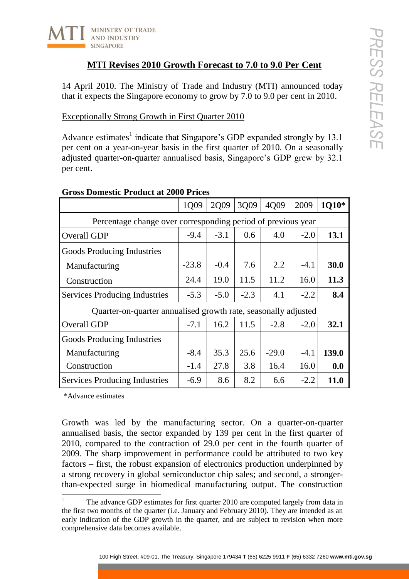

# **MTI Revises 2010 Growth Forecast to 7.0 to 9.0 Per Cent**

## Exceptionally Strong Growth in First Quarter 2010

| <b>MTI Revises 2010 Growth Forecast to 7.0 to 9.0 Per Cent</b>                                                                                                                                                                                                                                                                                                                                                           |         |        |        |                                                                                    |        |       |
|--------------------------------------------------------------------------------------------------------------------------------------------------------------------------------------------------------------------------------------------------------------------------------------------------------------------------------------------------------------------------------------------------------------------------|---------|--------|--------|------------------------------------------------------------------------------------|--------|-------|
| 14 April 2010. The Ministry of Trade and Industry (MTI) announced today<br>that it expects the Singapore economy to grow by 7.0 to 9.0 per cent in 2010.                                                                                                                                                                                                                                                                 |         |        |        |                                                                                    |        |       |
| <b>Exceptionally Strong Growth in First Quarter 2010</b>                                                                                                                                                                                                                                                                                                                                                                 |         |        |        |                                                                                    |        |       |
| Advance estimates <sup>1</sup> indicate that Singapore's GDP expanded strongly by 13.1<br>per cent on a year-on-year basis in the first quarter of 2010. On a seasonally<br>adjusted quarter-on-quarter annualised basis, Singapore's GDP grew by 32.1<br>per cent.                                                                                                                                                      |         |        |        |                                                                                    |        |       |
| <b>Gross Domestic Product at 2000 Prices</b>                                                                                                                                                                                                                                                                                                                                                                             | 1Q09    | 2Q09   | 3Q09   | 4Q09                                                                               | 2009   | 1Q10* |
|                                                                                                                                                                                                                                                                                                                                                                                                                          |         |        |        |                                                                                    |        |       |
| Percentage change over corresponding period of previous year<br>Overall GDP                                                                                                                                                                                                                                                                                                                                              | $-9.4$  | $-3.1$ | 0.6    | 4.0                                                                                | $-2.0$ | 13.1  |
| Goods Producing Industries                                                                                                                                                                                                                                                                                                                                                                                               |         |        |        |                                                                                    |        |       |
| Manufacturing                                                                                                                                                                                                                                                                                                                                                                                                            | $-23.8$ | $-0.4$ | 7.6    | 2.2                                                                                | $-4.1$ | 30.0  |
| Construction                                                                                                                                                                                                                                                                                                                                                                                                             | 24.4    | 19.0   | 11.5   | 11.2                                                                               | 16.0   | 11.3  |
| <b>Services Producing Industries</b>                                                                                                                                                                                                                                                                                                                                                                                     | $-5.3$  | $-5.0$ | $-2.3$ | 4.1                                                                                | $-2.2$ | 8.4   |
| Quarter-on-quarter annualised growth rate, seasonally adjusted                                                                                                                                                                                                                                                                                                                                                           |         |        |        |                                                                                    |        |       |
| Overall GDP                                                                                                                                                                                                                                                                                                                                                                                                              | $-7.1$  | 16.2   | 11.5   | $-2.8$                                                                             | $-2.0$ | 32.1  |
| <b>Goods Producing Industries</b>                                                                                                                                                                                                                                                                                                                                                                                        |         |        |        |                                                                                    |        |       |
| Manufacturing                                                                                                                                                                                                                                                                                                                                                                                                            | $-8.4$  | 35.3   | 25.6   | $-29.0$                                                                            | $-4.1$ | 139.0 |
| Construction                                                                                                                                                                                                                                                                                                                                                                                                             | $-1.4$  | 27.8   | 3.8    | 16.4                                                                               | 16.0   | 0.0   |
| <b>Services Producing Industries</b>                                                                                                                                                                                                                                                                                                                                                                                     | $-6.9$  | 8.6    | 8.2    | 6.6                                                                                | $-2.2$ | 11.0  |
| *Advance estimates<br>Growth was led by the manufacturing sector. On a quarter-on-quarter<br>annualised basis, the sector expanded by 139 per cent in the first quarter of<br>2010, compared to the contraction of 29.0 per cent in the fourth quarter of<br>2009. The sharp improvement in performance could be attributed to two key<br>factors – first, the robust expansion of electronics production underpinned by |         |        |        |                                                                                    |        |       |
| a strong recovery in global semiconductor chip sales; and second, a stronger-<br>than-expected surge in biomedical manufacturing output. The construction                                                                                                                                                                                                                                                                |         |        |        | The advance GDP estimates for first quarter 2010 are computed largely from data in |        |       |

## **Gross Domestic Product at 2000 Prices**

The advance GDP estimates for first quarter 2010 are computed largely from data in the first two months of the quarter (i.e. January and February 2010). They are intended as an early indication of the GDP growth in the quarter, and are subject to revision when more comprehensive data becomes available.